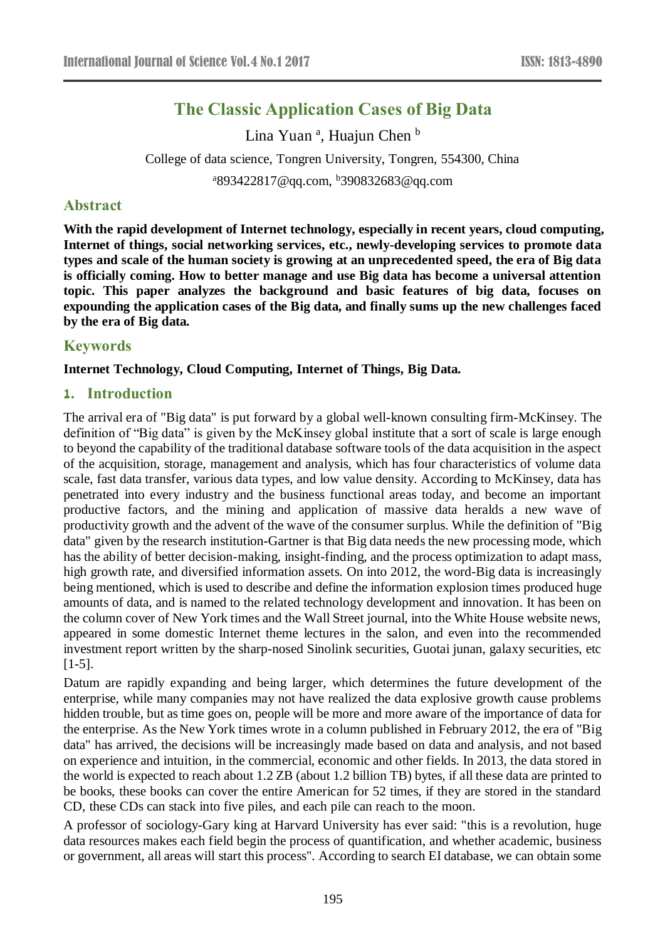# **The Classic Application Cases of Big Data**

Lina Yuan<sup>a</sup>, Huajun Chen<sup>b</sup> College of data science, Tongren University, Tongren, 554300, China <sup>a</sup>893422817@qq.com, <sup>b</sup>390832683@qq.com

# **Abstract**

**With the rapid development of Internet technology, especially in recent years, cloud computing, Internet of things, social networking services, etc., newly-developing services to promote data types and scale of the human society is growing at an unprecedented speed, the era of Big data is officially coming. How to better manage and use Big data has become a universal attention topic. This paper analyzes the background and basic features of big data, focuses on expounding the application cases of the Big data, and finally sums up the new challenges faced by the era of Big data.**

# **Keywords**

## **Internet Technology, Cloud Computing, Internet of Things, Big Data.**

# **1. Introduction**

The arrival era of "Big data" is put forward by a global well-known consulting firm-McKinsey. The definition of "Big data" is given by the McKinsey global institute that a sort of scale is large enough to beyond the capability of the traditional database software tools of the data acquisition in the aspect of the acquisition, storage, management and analysis, which has four characteristics of volume data scale, fast data transfer, various data types, and low value density. According to McKinsey, data has penetrated into every industry and the business functional areas today, and become an important productive factors, and the mining and application of massive data heralds a new wave of productivity growth and the advent of the wave of the consumer surplus. While the definition of "Big data" given by the research institution-Gartner is that Big data needs the new processing mode, which has the ability of better decision-making, insight-finding, and the process optimization to adapt mass, high growth rate, and diversified information assets. On into 2012, the word-Big data is increasingly being mentioned, which is used to describe and define the information explosion times produced huge amounts of data, and is named to the related technology development and innovation. It has been on the column cover of New York times and the Wall Street journal, into the White House website news, appeared in some domestic Internet theme lectures in the salon, and even into the recommended investment report written by the sharp-nosed Sinolink securities, Guotai junan, galaxy securities, etc  $[1-5]$ .

Datum are rapidly expanding and being larger, which determines the future development of the enterprise, while many companies may not have realized the data explosive growth cause problems hidden trouble, but as time goes on, people will be more and more aware of the importance of data for the enterprise. As the New York times wrote in a column published in February 2012, the era of "Big data" has arrived, the decisions will be increasingly made based on data and analysis, and not based on experience and intuition, in the commercial, economic and other fields. In 2013, the data stored in the world is expected to reach about 1.2 ZB (about 1.2 billion TB) bytes, if all these data are printed to be books, these books can cover the entire American for 52 times, if they are stored in the standard CD, these CDs can stack into five piles, and each pile can reach to the moon.

A professor of sociology-Gary king at Harvard University has ever said: "this is a revolution, huge data resources makes each field begin the process of quantification, and whether academic, business or government, all areas will start this process". According to search EI database, we can obtain some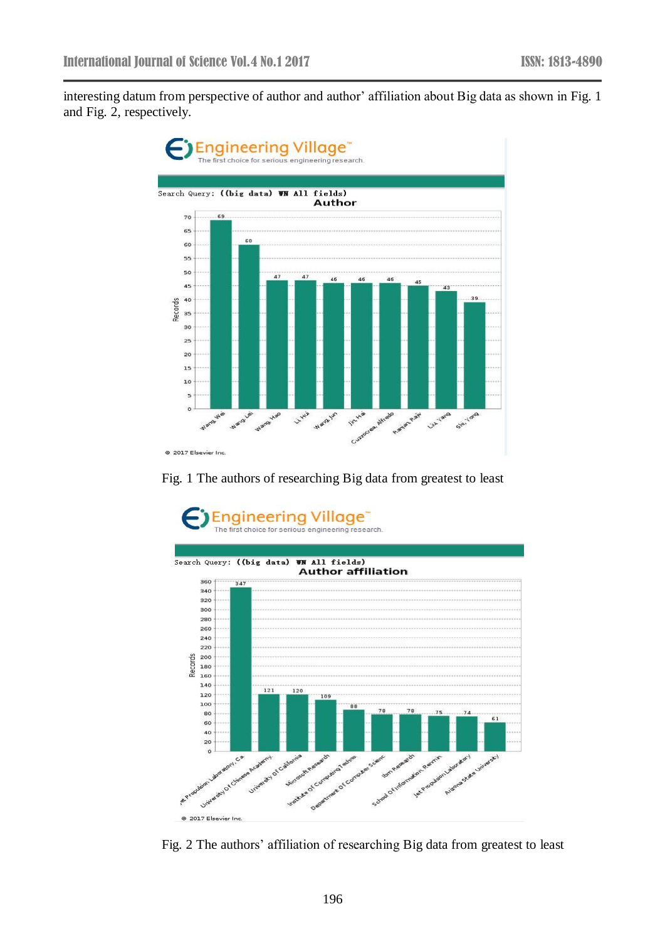interesting datum from perspective of author and author' affiliation about Big data as shown in Fig. 1 and Fig. 2, respectively.



Fig. 1 The authors of researching Big data from greatest to least



Fig. 2 The authors' affiliation of researching Big data from greatest to least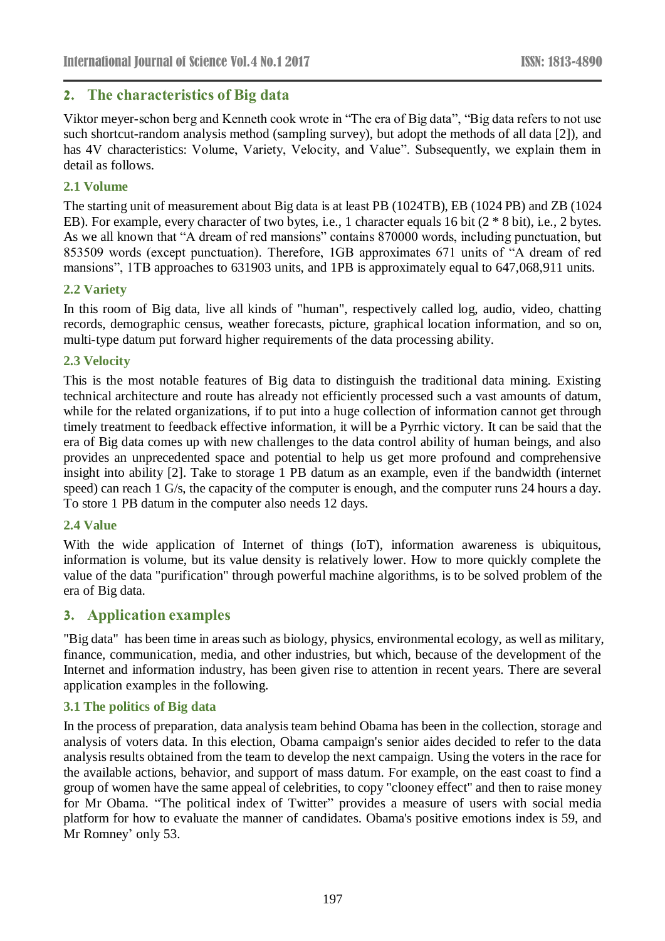# **2. The characteristics of Big data**

Viktor meyer-schon berg and Kenneth cook wrote in "The era of Big data", "Big data refers to not use such shortcut-random analysis method (sampling survey), but adopt the methods of all data [2]), and has 4V characteristics: Volume, Variety, Velocity, and Value". Subsequently, we explain them in detail as follows.

## **2.1 Volume**

The starting unit of measurement about Big data is at least PB (1024TB), EB (1024 PB) and ZB (1024 EB). For example, every character of two bytes, i.e., 1 character equals 16 bit (2  $*$  8 bit), i.e., 2 bytes. As we all known that "A dream of red mansions" contains 870000 words, including punctuation, but 853509 words (except punctuation). Therefore, 1GB approximates 671 units of "A dream of red mansions", 1TB approaches to 631903 units, and 1PB is approximately equal to 647,068,911 units.

#### **2.2 Variety**

In this room of Big data, live all kinds of "human", respectively called log, audio, video, chatting records, demographic census, weather forecasts, picture, graphical location information, and so on, multi-type datum put forward higher requirements of the data processing ability.

#### **2.3 Velocity**

This is the most notable features of Big data to distinguish the traditional data mining. Existing technical architecture and route has already not efficiently processed such a vast amounts of datum, while for the related organizations, if to put into a huge collection of information cannot get through timely treatment to feedback effective information, it will be a Pyrrhic victory. It can be said that the era of Big data comes up with new challenges to the data control ability of human beings, and also provides an unprecedented space and potential to help us get more profound and comprehensive insight into ability [2]. Take to storage 1 PB datum as an example, even if the bandwidth (internet speed) can reach 1 G/s, the capacity of the computer is enough, and the computer runs 24 hours a day. To store 1 PB datum in the computer also needs 12 days.

## **2.4 Value**

With the wide application of Internet of things (IoT), information awareness is ubiquitous, information is volume, but its value density is relatively lower. How to more quickly complete the value of the data "purification" through powerful machine algorithms, is to be solved problem of the era of Big data.

## **3. Application examples**

"Big data" has been time in areas such as biology, physics, environmental ecology, as well as military, finance, communication, media, and other industries, but which, because of the development of the Internet and information industry, has been given rise to attention in recent years. There are several application examples in the following.

#### **3.1 The politics of Big data**

In the process of preparation, data analysis team behind Obama has been in the collection, storage and analysis of voters data. In this election, Obama campaign's senior aides decided to refer to the data analysis results obtained from the team to develop the next campaign. Using the voters in the race for the available actions, behavior, and support of mass datum. For example, on the east coast to find a group of women have the same appeal of celebrities, to copy "clooney effect" and then to raise money for Mr Obama. "The political index of Twitter" provides a measure of users with social media platform for how to evaluate the manner of candidates. Obama's positive emotions index is 59, and Mr Romney' only 53.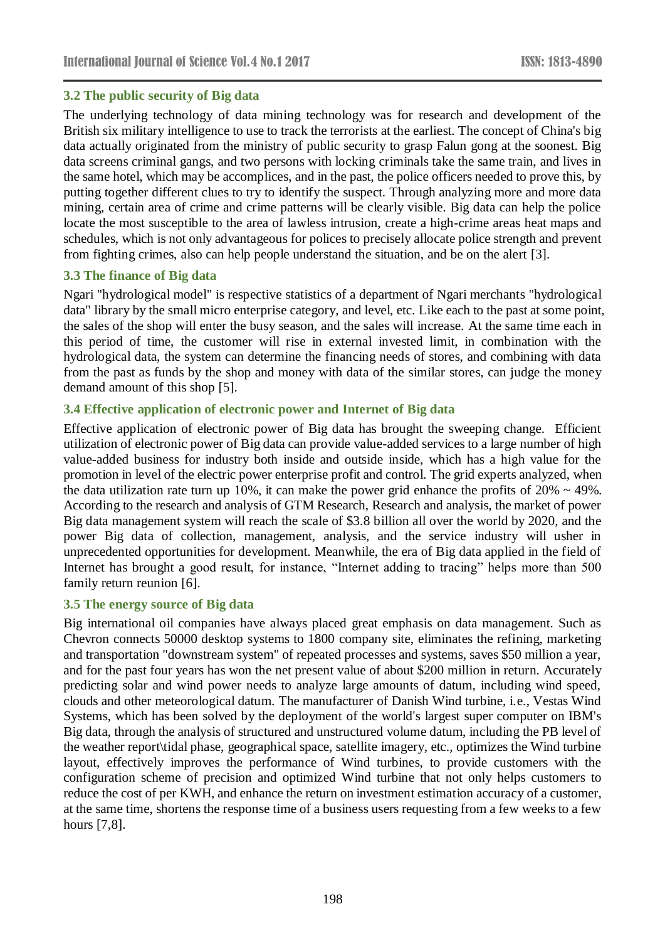#### **3.2 The public security of Big data**

The underlying technology of data mining technology was for research and development of the British six military intelligence to use to track the terrorists at the earliest. The concept of China's big data actually originated from the ministry of public security to grasp Falun gong at the soonest. Big data screens criminal gangs, and two persons with locking criminals take the same train, and lives in the same hotel, which may be accomplices, and in the past, the police officers needed to prove this, by putting together different clues to try to identify the suspect. Through analyzing more and more data mining, certain area of crime and crime patterns will be clearly visible. Big data can help the police locate the most susceptible to the area of lawless intrusion, create a high-crime areas heat maps and schedules, which is not only advantageous for polices to precisely allocate police strength and prevent from fighting crimes, also can help people understand the situation, and be on the alert [3].

#### **3.3 The finance of Big data**

Ngari "hydrological model" is respective statistics of a department of Ngari merchants "hydrological data" library by the small micro enterprise category, and level, etc. Like each to the past at some point, the sales of the shop will enter the busy season, and the sales will increase. At the same time each in this period of time, the customer will rise in external invested limit, in combination with the hydrological data, the system can determine the financing needs of stores, and combining with data from the past as funds by the shop and money with data of the similar stores, can judge the money demand amount of this shop [5].

#### **3.4 Effective application of electronic power and Internet of Big data**

Effective application of electronic power of Big data has brought the sweeping change. Efficient utilization of electronic power of Big data can provide value-added services to a large number of high value-added business for industry both inside and outside inside, which has a high value for the promotion in level of the electric power enterprise profit and control. The grid experts analyzed, when the data utilization rate turn up 10%, it can make the power grid enhance the profits of  $20\% \sim 49\%$ . According to the research and analysis of GTM Research, Research and analysis, the market of power Big data management system will reach the scale of \$3.8 billion all over the world by 2020, and the power Big data of collection, management, analysis, and the service industry will usher in unprecedented opportunities for development. Meanwhile, the era of Big data applied in the field of Internet has brought a good result, for instance, "Internet adding to tracing" helps more than 500 family return reunion [6].

#### **3.5 The energy source of Big data**

Big international oil companies have always placed great emphasis on data management. Such as Chevron connects 50000 desktop systems to 1800 company site, eliminates the refining, marketing and transportation "downstream system" of repeated processes and systems, saves \$50 million a year, and for the past four years has won the net present value of about \$200 million in return. Accurately predicting solar and wind power needs to analyze large amounts of datum, including wind speed, clouds and other meteorological datum. The manufacturer of Danish Wind turbine, i.e., Vestas Wind Systems, which has been solved by the deployment of the world's largest super computer on IBM's Big data, through the analysis of structured and unstructured volume datum, including the PB level of the weather report\tidal phase, geographical space, satellite imagery, etc., optimizes the Wind turbine layout, effectively improves the performance of Wind turbines, to provide customers with the configuration scheme of precision and optimized Wind turbine that not only helps customers to reduce the cost of per KWH, and enhance the return on investment estimation accuracy of a customer, at the same time, shortens the response time of a business users requesting from a few weeks to a few hours [7,8].